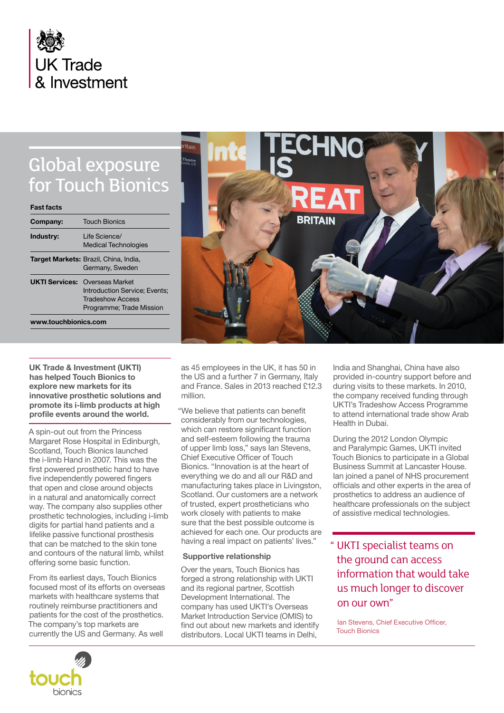

# Global exposure for Touch Bionics

| <b>Fast facts</b>     |                                                                                                                |
|-----------------------|----------------------------------------------------------------------------------------------------------------|
| Company:              | <b>Touch Bionics</b>                                                                                           |
| Industry:             | Life Science/<br><b>Medical Technologies</b>                                                                   |
|                       | <b>Target Markets: Brazil, China, India,</b><br>Germany, Sweden                                                |
| <b>UKTI Services:</b> | <b>Overseas Market</b><br>Introduction Service: Events:<br><b>Tradeshow Access</b><br>Programme; Trade Mission |
| www.touchbionics.com  |                                                                                                                |

**UK Trade & Investment (UKTI) has helped Touch Bionics to explore new markets for its innovative prosthetic solutions and promote its i-limb products at high profile events around the world.**

A spin-out out from the Princess Margaret Rose Hospital in Edinburgh, Scotland, Touch Bionics launched the i-limb Hand in 2007. This was the first powered prosthetic hand to have five independently powered fingers that open and close around objects in a natural and anatomically correct way. The company also supplies other prosthetic technologies, including i-limb digits for partial hand patients and a lifelike passive functional prosthesis that can be matched to the skin tone and contours of the natural limb, whilst offering some basic function.

From its earliest days, Touch Bionics focused most of its efforts on overseas markets with healthcare systems that routinely reimburse practitioners and patients for the cost of the prosthetics. The company's top markets are currently the US and Germany. As well



as 45 employees in the UK, it has 50 in the US and a further 7 in Germany, Italy and France. Sales in 2013 reached £12.3 million.

"We believe that patients can benefit considerably from our technologies, which can restore significant function and self-esteem following the trauma of upper limb loss," says Ian Stevens, Chief Executive Officer of Touch Bionics. "Innovation is at the heart of everything we do and all our R&D and manufacturing takes place in Livingston, Scotland. Our customers are a network of trusted, expert prostheticians who work closely with patients to make sure that the best possible outcome is achieved for each one. Our products are having a real impact on patients' lives."

# **Supportive relationship**

Over the years, Touch Bionics has forged a strong relationship with UKTI and its regional partner, Scottish Development International. The company has used UKTI's Overseas Market Introduction Service (OMIS) to find out about new markets and identify distributors. Local UKTI teams in Delhi,

India and Shanghai, China have also provided in-country support before and during visits to these markets. In 2010, the company received funding through UKTI's Tradeshow Access Programme to attend international trade show Arab Health in Dubai.

During the 2012 London Olympic and Paralympic Games, UKTI invited Touch Bionics to participate in a Global Business Summit at Lancaster House. Ian joined a panel of NHS procurement officials and other experts in the area of prosthetics to address an audience of healthcare professionals on the subject of assistive medical technologies.

" UKTI specialist teams on the ground can access information that would take us much longer to discover on our own"

Ian Stevens, Chief Executive Officer, Touch Bionics